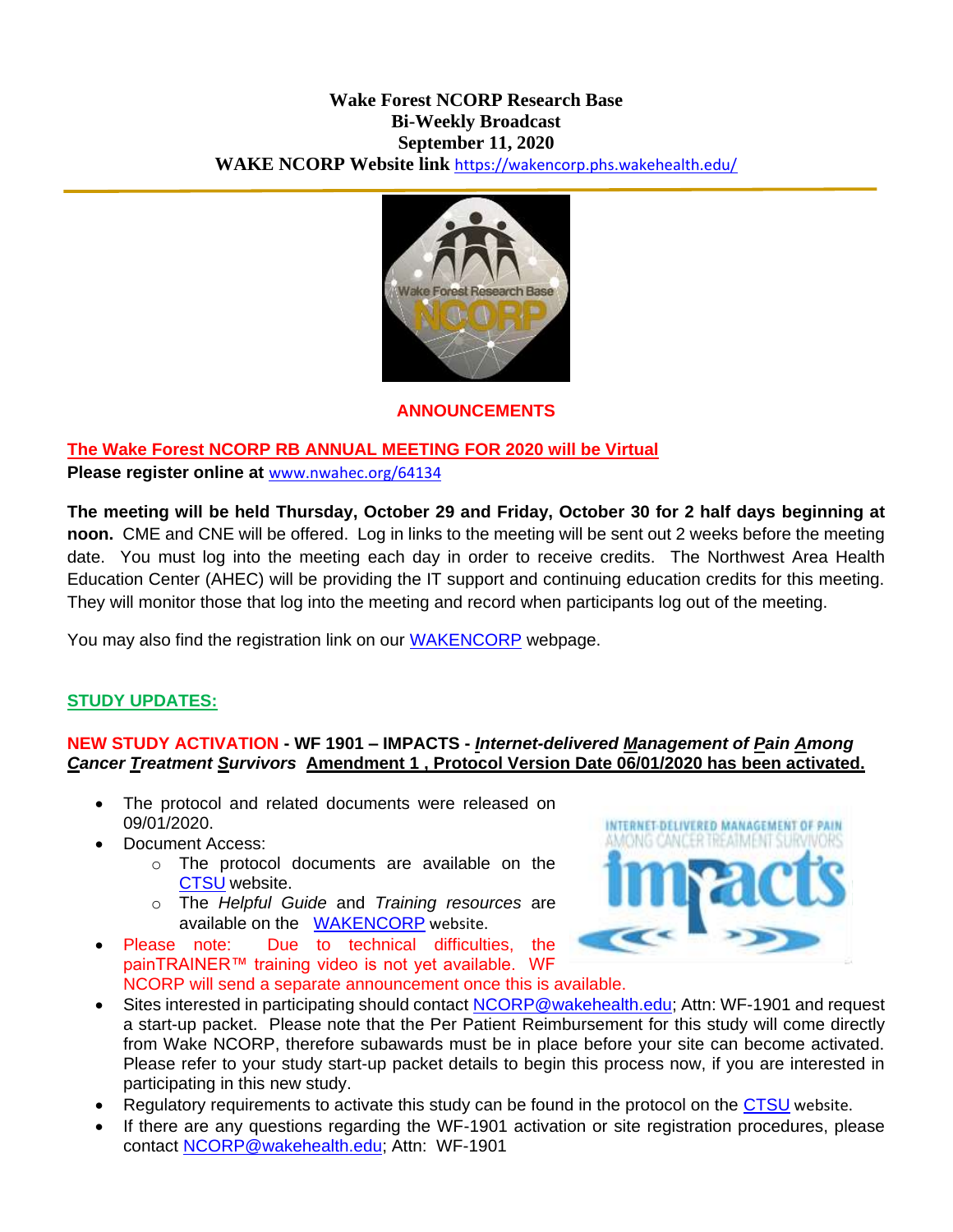#### **Wake Forest NCORP Research Base Bi-Weekly Broadcast September 11, 2020 WAKE NCORP Website link** <https://wakencorp.phs.wakehealth.edu/>



#### **ANNOUNCEMENTS**

### **The Wake Forest NCORP RB ANNUAL MEETING FOR 2020 will be Virtual**

**Please register online at** [www.nwahec.org/64134](http://www.nwahec.org/64134)

**The meeting will be held Thursday, October 29 and Friday, October 30 for 2 half days beginning at noon.** CME and CNE will be offered. Log in links to the meeting will be sent out 2 weeks before the meeting date. You must log into the meeting each day in order to receive credits. The Northwest Area Health Education Center (AHEC) will be providing the IT support and continuing education credits for this meeting. They will monitor those that log into the meeting and record when participants log out of the meeting.

You may also find the registration link on our [WAKENCORP](https://wakencorp.phs.wakehealth.edu/dspLogin.cfm) webpage.

#### **STUDY UPDATES:**

### **NEW STUDY ACTIVATION - WF 1901 – IMPACTS -** *Internet-delivered Management of Pain Among Cancer Treatment Survivors* **Amendment 1 , Protocol Version Date 06/01/2020 has been activated.**

- The protocol and related documents were released on 09/01/2020.
- Document Access:
	- o The protocol documents are available on the [CTSU](https://www.ctsu.org/Public/Default.aspx?ReturnUrl=%2f) website.
	- o The *Helpful Guide* and *Training resources* are available on the [WAKENCORP](https://wakencorp.phs.wakehealth.edu/) website.
- Please note: Due to technical difficulties, the painTRAINER™ training video is not yet available. WF NCORP will send a separate announcement once this is available.



- Sites interested in participating should contact [NCORP@wakehealth.edu;](mailto:NCORP@wakehealth.edu) Attn: WF-1901 and request a start-up packet. Please note that the Per Patient Reimbursement for this study will come directly from Wake NCORP, therefore subawards must be in place before your site can become activated. Please refer to your study start-up packet details to begin this process now, if you are interested in participating in this new study.
- Regulatory requirements to activate this study can be found in the protocol on the [CTSU](https://www.ctsu.org/Public/Default.aspx?ReturnUrl=%2f) website.
- If there are any questions regarding the WF-1901 activation or site registration procedures, please contact [NCORP@wakehealth.edu;](mailto:NCORP@wakehealth.edu) Attn: WF-1901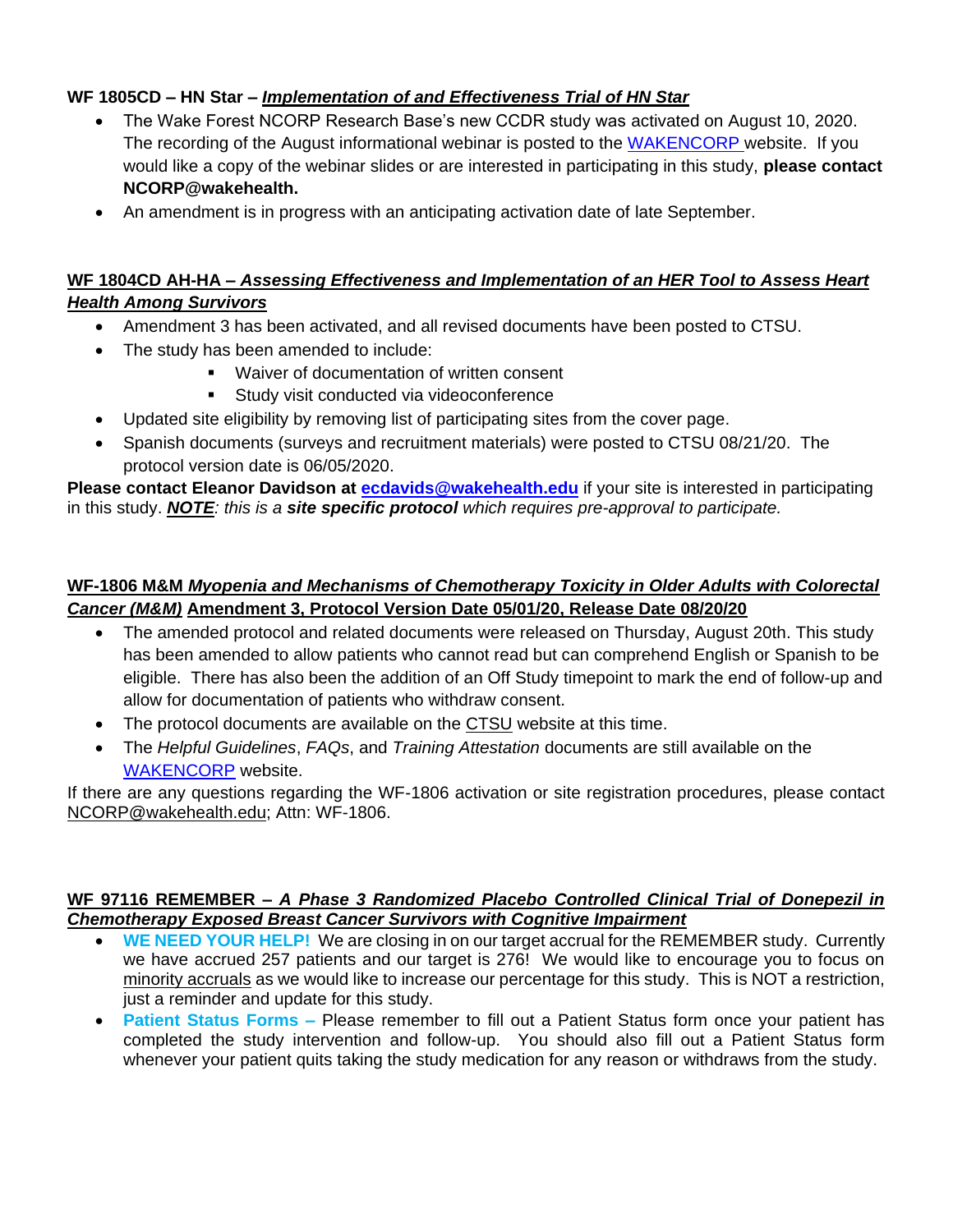## **WF 1805CD – HN Star –** *Implementation of and Effectiveness Trial of HN Star*

- The Wake Forest NCORP Research Base's new CCDR study was activated on August 10, 2020. The recording of the August informational webinar is posted to the [WAKENCORP](https://wakencorp.phs.wakehealth.edu/) website. If you would like a copy of the webinar slides or are interested in participating in this study, **please contact NCORP@wakehealth.**
- An amendment is in progress with an anticipating activation date of late September.

## **WF 1804CD AH-HA –** *Assessing Effectiveness and Implementation of an HER Tool to Assess Heart Health Among Survivors*

- Amendment 3 has been activated, and all revised documents have been posted to CTSU.
- The study has been amended to include:
	- Waiver of documentation of written consent
	- **Study visit conducted via videoconference**
- Updated site eligibility by removing list of participating sites from the cover page.
- Spanish documents (surveys and recruitment materials) were posted to CTSU 08/21/20. The protocol version date is 06/05/2020.

**Please contact Eleanor Davidson at [ecdavids@wakehealth.edu](mailto:ecdavids@wakehealth.edu)** if your site is interested in participating in this study. *NOTE: this is a site specific protocol which requires pre-approval to participate.*

## **WF-1806 M&M** *Myopenia and Mechanisms of Chemotherapy Toxicity in Older Adults with Colorectal Cancer (M&M)* **Amendment 3, Protocol Version Date 05/01/20, Release Date 08/20/20**

- The amended protocol and related documents were released on Thursday, August 20th. This study has been amended to allow patients who cannot read but can comprehend English or Spanish to be eligible. There has also been the addition of an Off Study timepoint to mark the end of follow-up and allow for documentation of patients who withdraw consent.
- The protocol documents are available on the [CTSU](https://www.ctsu.org/Public/Default.aspx?ReturnUrl=%2f) website at this time.
- The *Helpful Guidelines*, *FAQs*, and *Training Attestation* documents are still available on the [WAKENCORP](https://wakencorp.phs.wakehealth.edu/) website.

If there are any questions regarding the WF-1806 activation or site registration procedures, please contact [NCORP@wakehealth.edu;](mailto:NCORP@wakehealth.edu) Attn: WF-1806.

#### **WF 97116 REMEMBER –** *A Phase 3 Randomized Placebo Controlled Clinical Trial of Donepezil in Chemotherapy Exposed Breast Cancer Survivors with Cognitive Impairment*

- **WE NEED YOUR HELP!** We are closing in on our target accrual for the REMEMBER study. Currently we have accrued 257 patients and our target is 276! We would like to encourage you to focus on minority accruals as we would like to increase our percentage for this study. This is NOT a restriction, just a reminder and update for this study.
- **Patient Status Forms –** Please remember to fill out a Patient Status form once your patient has completed the study intervention and follow-up. You should also fill out a Patient Status form whenever your patient quits taking the study medication for any reason or withdraws from the study.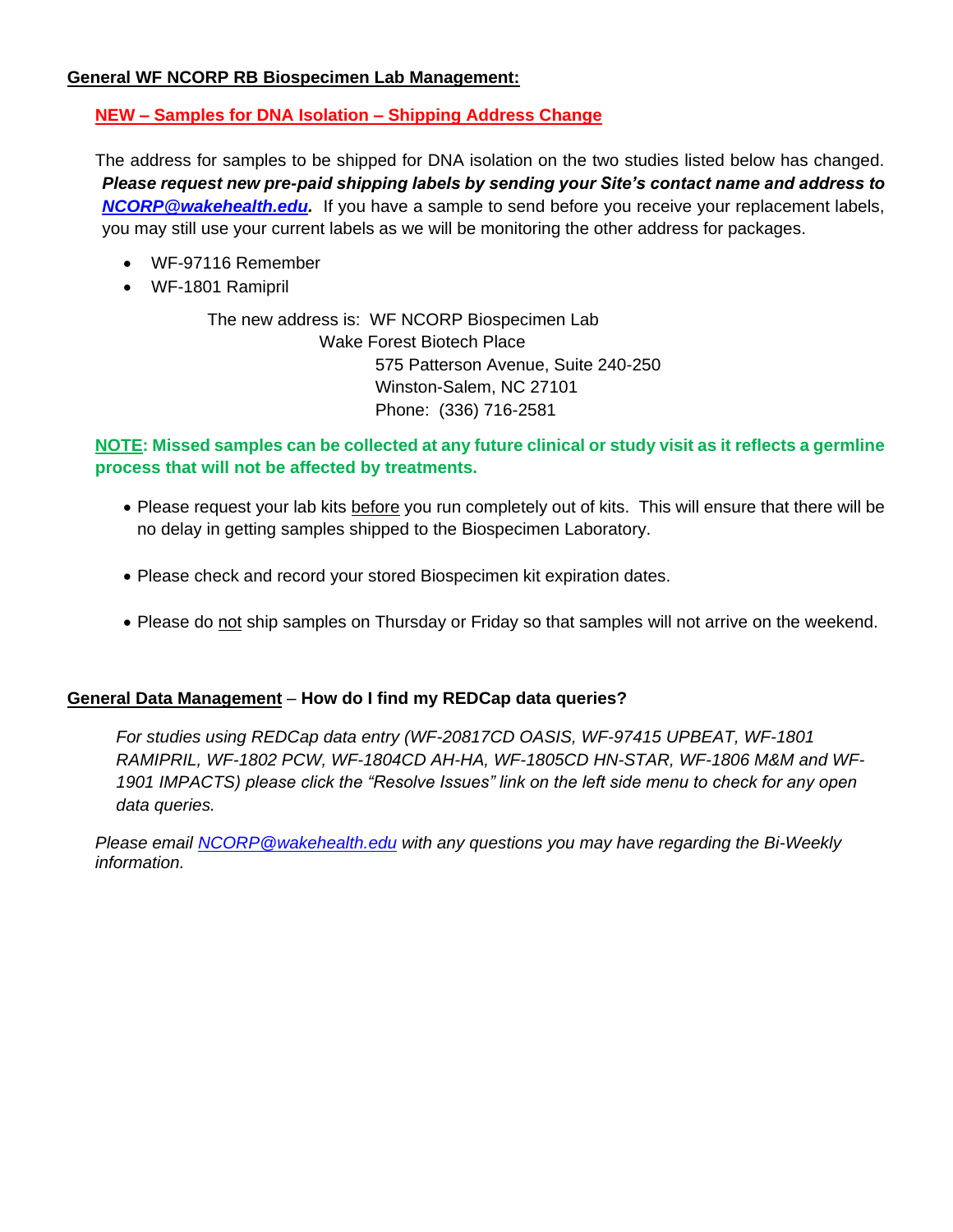### **General WF NCORP RB Biospecimen Lab Management:**

## **NEW – Samples for DNA Isolation – Shipping Address Change**

The address for samples to be shipped for DNA isolation on the two studies listed below has changed. *Please request new pre-paid shipping labels by sending your Site's contact name and address to [NCORP@wakehealth.edu.](mailto:NCORP@wakehealth.edu)* If you have a sample to send before you receive your replacement labels, you may still use your current labels as we will be monitoring the other address for packages.

- WF-97116 Remember
- WF-1801 Ramipril

The new address is: WF NCORP Biospecimen Lab Wake Forest Biotech Place 575 Patterson Avenue, Suite 240-250 Winston-Salem, NC 27101 Phone: (336) 716-2581

## **NOTE: Missed samples can be collected at any future clinical or study visit as it reflects a germline process that will not be affected by treatments.**

- Please request your lab kits before you run completely out of kits. This will ensure that there will be no delay in getting samples shipped to the Biospecimen Laboratory.
- Please check and record your stored Biospecimen kit expiration dates.
- Please do not ship samples on Thursday or Friday so that samples will not arrive on the weekend.

## **General Data Management** – **How do I find my REDCap data queries?**

*For studies using REDCap data entry (WF-20817CD OASIS, WF-97415 UPBEAT, WF-1801 RAMIPRIL, WF-1802 PCW, WF-1804CD AH-HA, WF-1805CD HN-STAR, WF-1806 M&M and WF-1901 IMPACTS) please click the "Resolve Issues" link on the left side menu to check for any open data queries.*

*Please email [NCORP@wakehealth.edu](mailto:NCORP@wakehealth.edu) with any questions you may have regarding the Bi-Weekly information.*